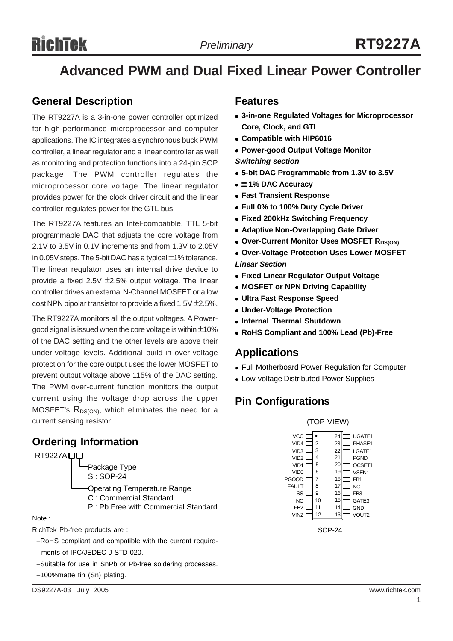# RichTek

## **Advanced PWM and Dual Fixed Linear Power Controller**

## **General Description**

The RT9227A is a 3-in-one power controller optimized for high-performance microprocessor and computer applications. The IC integrates a synchronous buck PWM controller, a linear regulator and a linear controller as well as monitoring and protection functions into a 24-pin SOP package. The PWM controller regulates the microprocessor core voltage. The linear regulator provides power for the clock driver circuit and the linear controller regulates power for the GTL bus.

The RT9227A features an Intel-compatible, TTL 5-bit programmable DAC that adjusts the core voltage from 2.1V to 3.5V in 0.1V increments and from 1.3V to 2.05V in 0.05V steps. The 5-bit DAC has a typical ±1% tolerance. The linear regulator uses an internal drive device to provide a fixed 2.5V ±2.5% output voltage. The linear controller drives an external N-Channel MOSFET or a low cost NPN bipolar transistor to provide a fixed  $1.5V \pm 2.5\%$ .

The RT9227A monitors all the output voltages. A Powergood signal is issued when the core voltage is within  $\pm 10\%$ of the DAC setting and the other levels are above their under-voltage levels. Additional build-in over-voltage protection for the core output uses the lower MOSFET to prevent output voltage above 115% of the DAC setting. The PWM over-current function monitors the output current using the voltage drop across the upper MOSFET's  $R_{DS(ON)}$ , which eliminates the need for a current sensing resistor. (TOP VIEW)

## **Ordering Information**

RT9227A<sub>D</sub>



Note :

RichTek Pb-free products are :

−RoHS compliant and compatible with the current require ments of IPC/JEDEC J-STD-020.

- −Suitable for use in SnPb or Pb-free soldering processes.
- −100%matte tin (Sn) plating.

### **Features**

- $\bullet$  **3-in-one Regulated Voltages for Microprocessor Core, Clock, and GTL**
- <sup>z</sup> **Compatible with HIP6016**
- **Power-good Output Voltage Monitor**

*Switching section*

- <sup>z</sup> **5-bit DAC Programmable from 1.3V to 3.5V**
- <sup>z</sup> ± **1% DAC Accuracy**
- **Fast Transient Response**
- <sup>z</sup> **Full 0% to 100% Duty Cycle Driver**
- **Fixed 200kHz Switching Frequency**
- **Adaptive Non-Overlapping Gate Driver**
- **Over-Current Monitor Uses MOSFET RDS(ON)**
- **Over-Voltage Protection Uses Lower MOSFET** *Linear Section*
- **Fixed Linear Regulator Output Voltage**
- **MOSFET or NPN Driving Capability**
- **Ultra Fast Response Speed**
- <sup>z</sup> **Under-Voltage Protection**
- **Internal Thermal Shutdown**
- <sup>z</sup> **RoHS Compliant and 100% Lead (Pb)-Free**

## **Applications**

- Full Motherboard Power Regulation for Computer
- Low-voltage Distributed Power Supplies

## **Pin Configurations**



SOP-24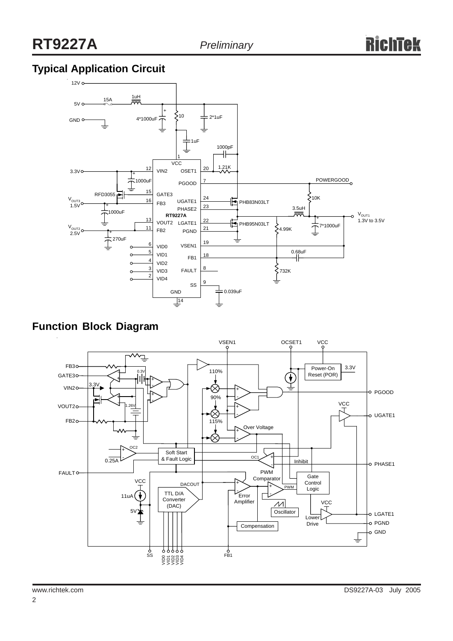## **Typical Application Circuit**



**Function Block Diagram**

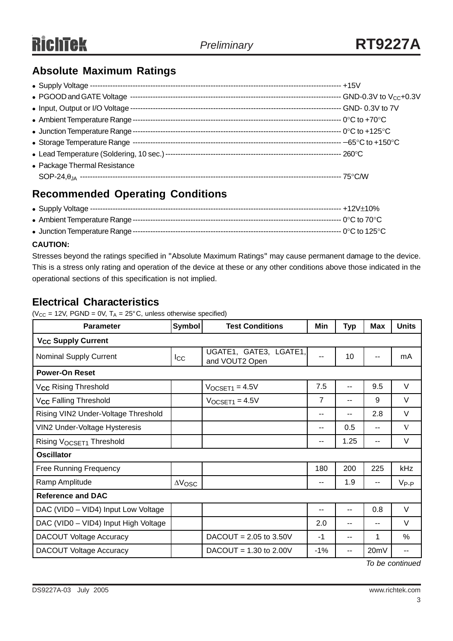## **Absolute Maximum Ratings**

| • Input, Output or I/O Voltage |  |
|--------------------------------|--|
|                                |  |
|                                |  |
|                                |  |
|                                |  |
| • Package Thermal Resistance   |  |
|                                |  |

## **Recommended Operating Conditions**

#### **CAUTION:**

Stresses beyond the ratings specified in "Absolute Maximum Ratings" may cause permanent damage to the device. This is a stress only rating and operation of the device at these or any other conditions above those indicated in the operational sections of this specification is not implied.

## **Electrical Characteristics**

( $V_{CC}$  = 12V, PGND = 0V, T<sub>A</sub> = 25°C, unless otherwise specified)

| <b>Parameter</b>                     | Symbol                                          | <b>Test Conditions</b>   |       | <b>Typ</b> | <b>Max</b> | <b>Units</b> |  |  |
|--------------------------------------|-------------------------------------------------|--------------------------|-------|------------|------------|--------------|--|--|
| <b>V<sub>CC</sub> Supply Current</b> |                                                 |                          |       |            |            |              |  |  |
| <b>Nominal Supply Current</b>        | UGATE1, GATE3, LGATE1,<br>Icc<br>and VOUT2 Open |                          | $-$   | 10         |            | mA           |  |  |
| <b>Power-On Reset</b>                |                                                 |                          |       |            |            |              |  |  |
| V <sub>CC</sub> Rising Threshold     |                                                 | $VOCSET1 = 4.5V$         | 7.5   | $-$        | 9.5        | $\vee$       |  |  |
| V <sub>CC</sub> Falling Threshold    |                                                 | $VOCSET1 = 4.5V$         | 7     | --         | 9          | V            |  |  |
| Rising VIN2 Under-Voltage Threshold  |                                                 |                          | --    | --         | 2.8        | V            |  |  |
| VIN2 Under-Voltage Hysteresis        |                                                 |                          | --    | 0.5        | --         | V            |  |  |
| Rising V <sub>OCSET1</sub> Threshold |                                                 |                          | --    | 1.25       | --         | V            |  |  |
| <b>Oscillator</b>                    |                                                 |                          |       |            |            |              |  |  |
| <b>Free Running Frequency</b>        |                                                 |                          | 180   | 200        | 225        | kHz          |  |  |
| Ramp Amplitude                       | $\Delta V$ OSC                                  |                          | --    | 1.9        | --         | $V_{P-P}$    |  |  |
| <b>Reference and DAC</b>             |                                                 |                          |       |            |            |              |  |  |
| DAC (VID0 - VID4) Input Low Voltage  |                                                 |                          | --    | --         | 0.8        | V            |  |  |
| DAC (VID0 - VID4) Input High Voltage |                                                 |                          | 2.0   | --         | --         | V            |  |  |
| <b>DACOUT Voltage Accuracy</b>       |                                                 | $DACOUT = 2.05$ to 3.50V | $-1$  | --         | 1          | $\%$         |  |  |
| <b>DACOUT Voltage Accuracy</b>       |                                                 | $DACOUT = 1.30$ to 2.00V | $-1%$ | --         | 20mV       | --           |  |  |

*To be continued*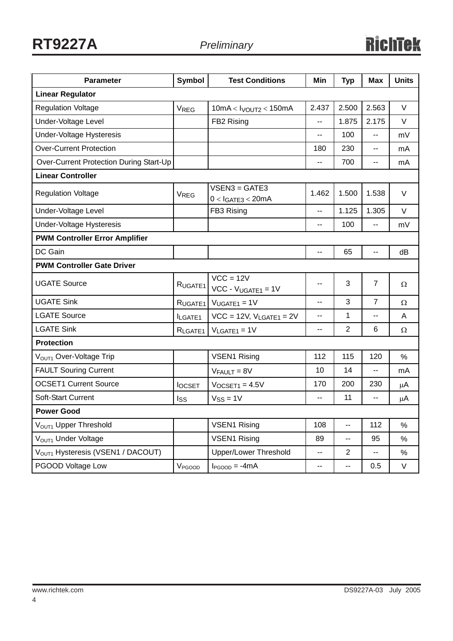| <b>Parameter</b>                              | <b>Symbol</b>                | <b>Test Conditions</b>                  | Min            | <b>Typ</b>     | <b>Max</b>     | <b>Units</b> |  |  |
|-----------------------------------------------|------------------------------|-----------------------------------------|----------------|----------------|----------------|--------------|--|--|
| <b>Linear Regulator</b>                       |                              |                                         |                |                |                |              |  |  |
| <b>Regulation Voltage</b>                     | <b>VREG</b>                  | $10mA <$ Ivoutz < 150mA                 | 2.437          | 2.500          | 2.563          | V            |  |  |
| Under-Voltage Level                           |                              | FB2 Rising                              | --             | 1.875          | 2.175          | V            |  |  |
| <b>Under-Voltage Hysteresis</b>               |                              |                                         | --             | 100            | --             | mV           |  |  |
| <b>Over-Current Protection</b>                |                              |                                         | 180            | 230            | --             | mA           |  |  |
| Over-Current Protection During Start-Up       |                              |                                         |                | 700            | --             | mA           |  |  |
| <b>Linear Controller</b>                      |                              |                                         |                |                |                |              |  |  |
| <b>Regulation Voltage</b>                     | VREG                         | $VSEN3 = GATE3$<br>$0 < I$ GATE3 < 20mA | 1.462          | 1.500          | 1.538          | $\vee$       |  |  |
| Under-Voltage Level                           |                              | FB3 Rising                              | --             | 1.125          | 1.305          | $\vee$       |  |  |
| Under-Voltage Hysteresis                      |                              |                                         | $\overline{a}$ | 100            | $-$            | mV           |  |  |
| <b>PWM Controller Error Amplifier</b>         |                              |                                         |                |                |                |              |  |  |
| DC Gain                                       |                              |                                         | --             | 65             | --             | dB           |  |  |
| <b>PWM Controller Gate Driver</b>             |                              |                                         |                |                |                |              |  |  |
| <b>UGATE Source</b>                           | RUGATE1                      | $VCC = 12V$<br>$VCC - VUGATE1 = 1V$     | --             | 3              | $\overline{7}$ | Ω            |  |  |
| <b>UGATE Sink</b>                             | RUGATE <sub>1</sub>          | $VUGATE1 = 1V$                          |                | 3              | $\overline{7}$ | Ω            |  |  |
| <b>LGATE Source</b>                           | <b>ILGATE1</b>               | $VCC = 12V$ , $V_{LGATE1} = 2V$         | --             | 1              | --             | A            |  |  |
| <b>LGATE Sink</b>                             | $V_{LGATE1} = 1V$<br>RLGATE1 |                                         | --             | $\overline{2}$ | 6              | Ω            |  |  |
| <b>Protection</b>                             |                              |                                         |                |                |                |              |  |  |
| V <sub>OUT1</sub> Over-Voltage Trip           |                              | <b>VSEN1 Rising</b>                     | 112            | 115            | 120            | %            |  |  |
| <b>FAULT Souring Current</b>                  | $V_{FAULT} = 8V$             |                                         | 10             | 14             | --             | mA           |  |  |
| <b>OCSET1 Current Source</b>                  | <b>I</b> OCSET               | $VOCSET1 = 4.5V$                        | 170            | 200            | 230            | μA           |  |  |
| <b>Soft-Start Current</b>                     | $V_{SS} = 1V$<br>Iss         |                                         | --             | 11             | --             | μA           |  |  |
| <b>Power Good</b>                             |                              |                                         |                |                |                |              |  |  |
| V <sub>OUT1</sub> Upper Threshold             |                              | <b>VSEN1 Rising</b>                     |                | --             | 112            | $\%$         |  |  |
| V <sub>OUT1</sub> Under Voltage               |                              | <b>VSEN1 Rising</b>                     |                | н.             | 95             | $\%$         |  |  |
| V <sub>OUT1</sub> Hysteresis (VSEN1 / DACOUT) |                              | Upper/Lower Threshold                   | $\overline{a}$ | $\overline{2}$ | --             | $\%$         |  |  |
| PGOOD Voltage Low                             | V <sub>PGOOD</sub>           | $I_{PGOOD} = -4mA$                      | ۰.             | ۰.             | 0.5            | V            |  |  |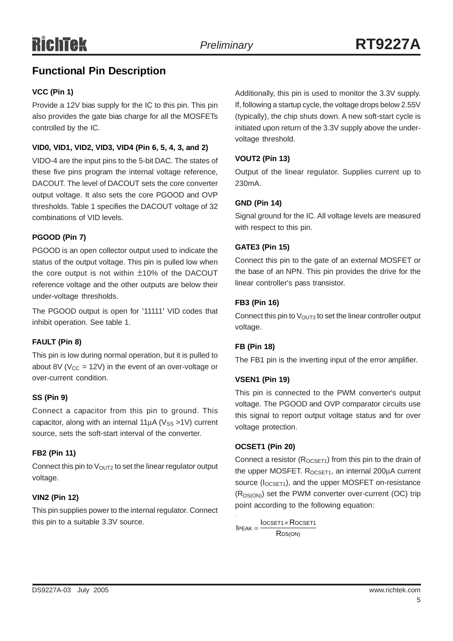## **Functional Pin Description**

#### **VCC (Pin 1)**

Provide a 12V bias supply for the IC to this pin. This pin also provides the gate bias charge for all the MOSFETs controlled by the IC.

#### **VID0, VID1, VID2, VID3, VID4 (Pin 6, 5, 4, 3, and 2)**

VIDO-4 are the input pins to the 5-bit DAC. The states of these five pins program the internal voltage reference, DACOUT. The level of DACOUT sets the core converter output voltage. It also sets the core PGOOD and OVP thresholds. Table 1 specifies the DACOUT voltage of 32 combinations of VID levels.

#### **PGOOD (Pin 7)**

PGOOD is an open collector output used to indicate the status of the output voltage. This pin is pulled low when the core output is not within ±10% of the DACOUT reference voltage and the other outputs are below their under-voltage thresholds.

The PGOOD output is open for '11111' VID codes that inhibit operation. See table 1.

#### **FAULT (Pin 8)**

This pin is low during normal operation, but it is pulled to about 8V ( $V_{CC}$  = 12V) in the event of an over-voltage or over-current condition.

#### **SS (Pin 9)**

Connect a capacitor from this pin to ground. This capacitor, along with an internal  $11\mu$ A (V<sub>SS</sub> >1V) current source, sets the soft-start interval of the converter.

#### **FB2 (Pin 11)**

Connect this pin to  $V<sub>OUT2</sub>$  to set the linear regulator output voltage.

#### **VIN2 (Pin 12)**

This pin supplies power to the internal regulator. Connect this pin to a suitable 3.3V source.

Additionally, this pin is used to monitor the 3.3V supply. If, following a startup cycle, the voltage drops below 2.55V (typically), the chip shuts down. A new soft-start cycle is initiated upon return of the 3.3V supply above the undervoltage threshold.

#### **VOUT2 (Pin 13)**

Output of the linear regulator. Supplies current up to 230mA.

#### **GND (Pin 14)**

Signal ground for the IC. All voltage levels are measured with respect to this pin.

#### **GATE3 (Pin 15)**

Connect this pin to the gate of an external MOSFET or the base of an NPN. This pin provides the drive for the linear controller's pass transistor.

#### **FB3 (Pin 16)**

Connect this pin to  $V_{\text{OUT3}}$  to set the linear controller output voltage.

#### **FB (Pin 18)**

The FB1 pin is the inverting input of the error amplifier.

#### **VSEN1 (Pin 19)**

This pin is connected to the PWM converter's output voltage. The PGOOD and OVP comparator circuits use this signal to report output voltage status and for over voltage protection.

#### **OCSET1 (Pin 20)**

Connect a resistor  $(R_{OCSET1})$  from this pin to the drain of the upper MOSFET.  $R_{OCSFT1}$ , an internal 200 $\mu$ A current source  $(I_{OCSET1})$ , and the upper MOSFET on-resistance (R<sub>DS(ON)</sub>) set the PWM converter over-current (OC) trip point according to the following equation:

R<sub>DS(ON)</sub>  $IPEAK = \frac{IOCSET1 \times ROCSET1}{R}$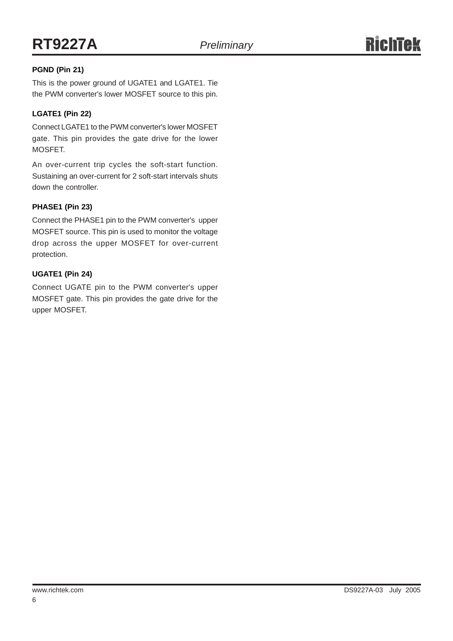#### **PGND (Pin 21)**

This is the power ground of UGATE1 and LGATE1. Tie the PWM converter's lower MOSFET source to this pin.

#### **LGATE1 (Pin 22)**

Connect LGATE1 to the PWM converter's lower MOSFET gate. This pin provides the gate drive for the lower MOSFET.

An over-current trip cycles the soft-start function. Sustaining an over-current for 2 soft-start intervals shuts down the controller.

#### **PHASE1 (Pin 23)**

Connect the PHASE1 pin to the PWM converter's upper MOSFET source. This pin is used to monitor the voltage drop across the upper MOSFET for over-current protection.

#### **UGATE1 (Pin 24)**

Connect UGATE pin to the PWM converter's upper MOSFET gate. This pin provides the gate drive for the upper MOSFET.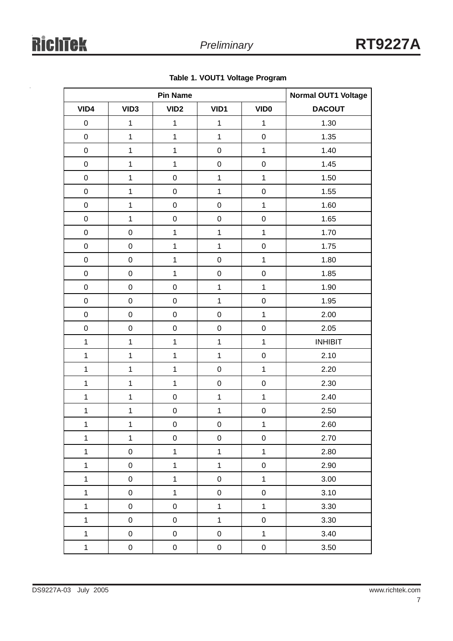|              | <b>Pin Name</b>     |                  |                |              | <b>Normal OUT1 Voltage</b> |  |
|--------------|---------------------|------------------|----------------|--------------|----------------------------|--|
| VID4         | VID <sub>3</sub>    | VID <sub>2</sub> | VID1           | <b>VIDO</b>  | <b>DACOUT</b>              |  |
| $\mathsf 0$  | $\mathbf 1$         | 1                | $\mathbf 1$    | $\mathbf{1}$ | 1.30                       |  |
| $\mathbf 0$  | $\mathbf 1$         | $\mathbf{1}$     | $\mathbf{1}$   | $\mathbf 0$  | 1.35                       |  |
| $\mathsf 0$  | $\mathbf 1$         | $\mathbf 1$      | $\pmb{0}$      | $\mathbf 1$  | 1.40                       |  |
| $\mathbf 0$  | 1                   | $\mathbf 1$      | $\mathbf 0$    | $\pmb{0}$    | 1.45                       |  |
| 0            | $\mathbf 1$         | $\pmb{0}$        | $\mathbf 1$    | $\mathbf 1$  | 1.50                       |  |
| $\mathsf 0$  | $\mathbf 1$         | $\pmb{0}$        | $\mathbf 1$    | $\pmb{0}$    | 1.55                       |  |
| $\mathsf 0$  | $\mathbf 1$         | $\pmb{0}$        | $\pmb{0}$      | $\mathbf 1$  | 1.60                       |  |
| $\mathbf 0$  | $\mathbf 1$         | $\mathbf 0$      | $\mathbf 0$    | $\pmb{0}$    | 1.65                       |  |
| $\mathsf 0$  | $\mathsf 0$         | $\mathbf 1$      | $\mathbf 1$    | $\mathbf 1$  | 1.70                       |  |
| $\mathbf 0$  | $\mathsf 0$         | $\mathbf 1$      | $\mathbf{1}$   | $\pmb{0}$    | 1.75                       |  |
| 0            | $\pmb{0}$           | $\mathbf 1$      | $\pmb{0}$      | $\mathbf 1$  | 1.80                       |  |
| $\mathbf 0$  | $\mathsf 0$         | $\mathbf 1$      | $\mathbf 0$    | $\mathbf 0$  | 1.85                       |  |
| $\mathbf 0$  | $\pmb{0}$           | $\pmb{0}$        | $\mathbf 1$    | $\mathbf 1$  | 1.90                       |  |
| $\mathbf 0$  | $\mathsf 0$         | $\mathbf 0$      | $\mathbf{1}$   | $\pmb{0}$    | 1.95                       |  |
| $\mathbf 0$  | $\mathbf 0$         | $\pmb{0}$        | $\pmb{0}$      | $\mathbf 1$  | 2.00                       |  |
| $\mathbf 0$  | $\mathsf 0$         | $\pmb{0}$        | $\mathbf 0$    | $\mathbf 0$  | 2.05                       |  |
| $\mathbf{1}$ | $\mathbf 1$         | $\mathbf 1$      | $\mathbf 1$    | $\mathbf 1$  | <b>INHIBIT</b>             |  |
| $\mathbf{1}$ | $\mathbf 1$         | $\mathbf 1$      | $\mathbf{1}$   | $\mathbf 0$  | 2.10                       |  |
| $\mathbf 1$  | 1                   | $\mathbf 1$      | $\pmb{0}$      | $\mathbf 1$  | 2.20                       |  |
| $\mathbf 1$  | $\mathbf 1$         | $\mathbf 1$      | $\pmb{0}$      | $\mathbf 0$  | 2.30                       |  |
| $\mathbf 1$  | 1                   | $\pmb{0}$        | $\mathbf 1$    | $\mathbf 1$  | 2.40                       |  |
| $\mathbf 1$  | $\mathbf 1$         | $\pmb{0}$        | $\mathbf{1}$   | $\pmb{0}$    | 2.50                       |  |
| $\mathbf{1}$ | $\mathbf{1}$        | $\mathbf 0$      | $\pmb{0}$      | 1            | 2.60                       |  |
| $\mathbf 1$  | $\mathbf 1$         | $\mathbf 0$      | $\mathbf 0$    | $\mathbf 0$  | 2.70                       |  |
| $\mathbf{1}$ | $\mathbf 0$         | $\overline{1}$   | $\overline{1}$ | $\mathbf{1}$ | 2.80                       |  |
| $\mathbf{1}$ | $\mathsf 0$         | $\mathbf{1}$     | $\overline{1}$ | $\mathbf 0$  | 2.90                       |  |
| $\mathbf{1}$ | $\mathsf{O}\xspace$ | $\overline{1}$   | $\mathbf 0$    | $\mathbf{1}$ | 3.00                       |  |
| $\mathbf{1}$ | $\mathsf 0$         | $\ddagger$       | $\pmb{0}$      | $\pmb{0}$    | 3.10                       |  |
| $\mathbf{1}$ | $\mathsf{O}\xspace$ | $\mathbf 0$      | $\overline{1}$ | $\mathbf 1$  | 3.30                       |  |
| $\mathbf{1}$ | $\mathsf 0$         | ${\bf 0}$        | $\overline{1}$ | $\mathbf 0$  | 3.30                       |  |
| $\mathbf{1}$ | $\mathsf{O}\xspace$ | $\mathbf 0$      | $\mathbf 0$    | $\mathbf{1}$ | 3.40                       |  |
| $\mathbf{1}$ | $\pmb{0}$           | $\mathbf 0$      | $\mathsf 0$    | $\pmb{0}$    | 3.50                       |  |

**Table 1. VOUT1 Voltage Program**